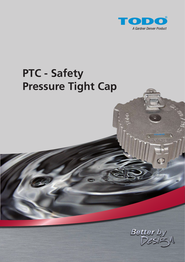

# **PTC - Safety Pressure Tight Cap**



 $\circ$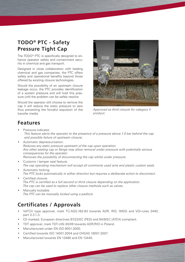### **TODO® PTC - Safety Pressure Tight Cap**

The TODO® PTC is specifically designed to enhance operator safety and containment security in chemical and gas transport.

Designed in close collaboration with leading chemical and gas companies, the PTC offers safety and operational benefits beyond those offered by existing closure technologies.

Should the possibility of an upstream closure leakage occur, the PTC provides identification of a system pressure and will hold this pressure until the problem can be safely resolve

Should the operator still choose to remove the cap it will reduce the static pressure to zero thus preventing the forceful expulsion of the transfer media.



*Approved as third closure for category II product.*

### **Features**

- Pressure indicator. *This feature alerts the operator to the presence of a pressure above 1.0 bar behind the cap and possible failure of upstream closure.*
- Automatic depressurization. *Reduces any static pressure upstream of the cap upon operation. Any other sealing cap or flange may allow removal under pressure with potentially serious consequences for the operator. Removes the possibility of disconnecting the cap whilst under pressure.*
- Customs / tamper seal feature. *The cap operating mechanism will accept all commonly used wire and plastic custom seals.*
- Automatic locking. *The PTC locks automatically in either direction but requires a deliberate action to disconnect.*
- Certified closure. *The PTC is certified as a full second or third closure depending on the application. The cap can be used to replace other closure methods such as valves.*
- Manually lockable. *The PTC can be manually locked using a padlock.*

### **Certificates / Approvals**

- VdTÜV type approval, mark TÜ.AGG.162-93 towards ADR, RID, IMDG and VDI-rules 2440, part 3.3.1.3.
- CE-marked, European directives 97/23/EC (PED) and 94/9/EC (ATEX) compliant.
- TDT approval, mark TDT-UW-30/09 towards ADR/RID in Poland.
- Manufactured under EN ISO 9001:2000.
- Certified towards ISO 14001:2004 and OHSAS 18001:2007.
- Manufactured towards EN 13480 and EN 13445.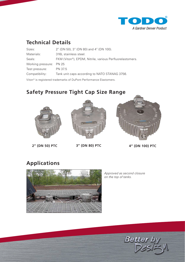

### **Technical Details**

| Sizes:                  | 2" (DN 50), 3" (DN 80) and 4" (DN 100).                  |
|-------------------------|----------------------------------------------------------|
| Materials:              | 316L stainless steel.                                    |
| Seals:                  | FKM (Viton®), EPDM, Nitrile, various Perfluorelastomers. |
| Working pressure: PN 25 |                                                          |
| Test pressure:          | PN 37.5                                                  |
| Compatibility:          | Tank unit caps according to NATO STANAG 3756.            |
|                         |                                                          |

Viton® is registered trademarks of DuPont Performance Elastomers.

## **Safety Pressure Tight Cap Size Range**



**2" (DN 50) PTC 3" (DN 80) PTC 4" (DN 100) PTC**





# **Applications**



*Approved as second closure on the top of tanks.*